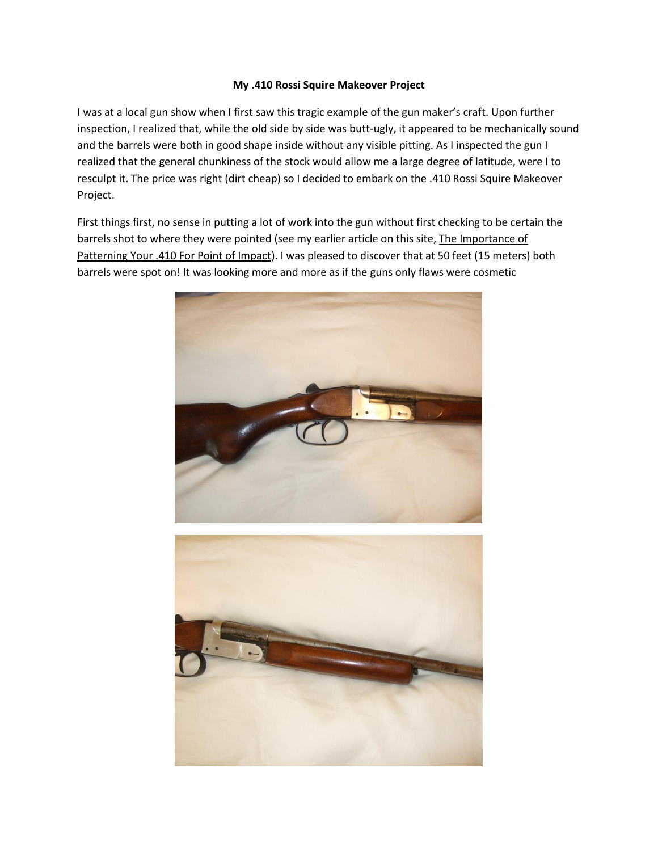## **My .410 Rossi Squire Makeover Project**

I was at a local gun show when I first saw this tragic example of the gun maker's craft. Upon further inspection, I realized that, while the old side by side was butt-ugly, it appeared to be mechanically sound and the barrels were both in good shape inside without any visible pitting. As I inspected the gun I realized that the general chunkiness of the stock would allow me a large degree of latitude, were I to resculpt it. The price was right (dirt cheap) so I decided to embark on the .410 Rossi Squire Makeover Project.

First things first, no sense in putting a lot of work into the gun without first checking to be certain the barrels shot to where they were pointed (see my earlier article on this site, The Importance of Patterning Your .410 For Point of Impact). I was pleased to discover that at 50 feet (15 meters) both barrels were spot on! It was looking more and more as if the guns only flaws were cosmetic



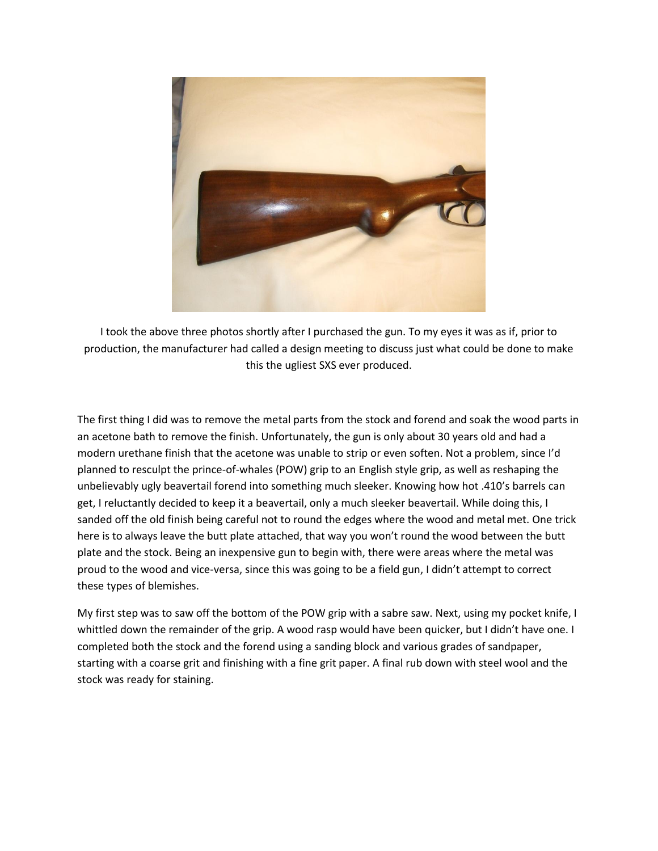

I took the above three photos shortly after I purchased the gun. To my eyes it was as if, prior to production, the manufacturer had called a design meeting to discuss just what could be done to make this the ugliest SXS ever produced.

The first thing I did was to remove the metal parts from the stock and forend and soak the wood parts in an acetone bath to remove the finish. Unfortunately, the gun is only about 30 years old and had a modern urethane finish that the acetone was unable to strip or even soften. Not a problem, since I'd planned to resculpt the prince-of-whales (POW) grip to an English style grip, as well as reshaping the unbelievably ugly beavertail forend into something much sleeker. Knowing how hot .410's barrels can get, I reluctantly decided to keep it a beavertail, only a much sleeker beavertail. While doing this, I sanded off the old finish being careful not to round the edges where the wood and metal met. One trick here is to always leave the butt plate attached, that way you won't round the wood between the butt plate and the stock. Being an inexpensive gun to begin with, there were areas where the metal was proud to the wood and vice-versa, since this was going to be a field gun, I didn't attempt to correct these types of blemishes.

My first step was to saw off the bottom of the POW grip with a sabre saw. Next, using my pocket knife, I whittled down the remainder of the grip. A wood rasp would have been quicker, but I didn't have one. I completed both the stock and the forend using a sanding block and various grades of sandpaper, starting with a coarse grit and finishing with a fine grit paper. A final rub down with steel wool and the stock was ready for staining.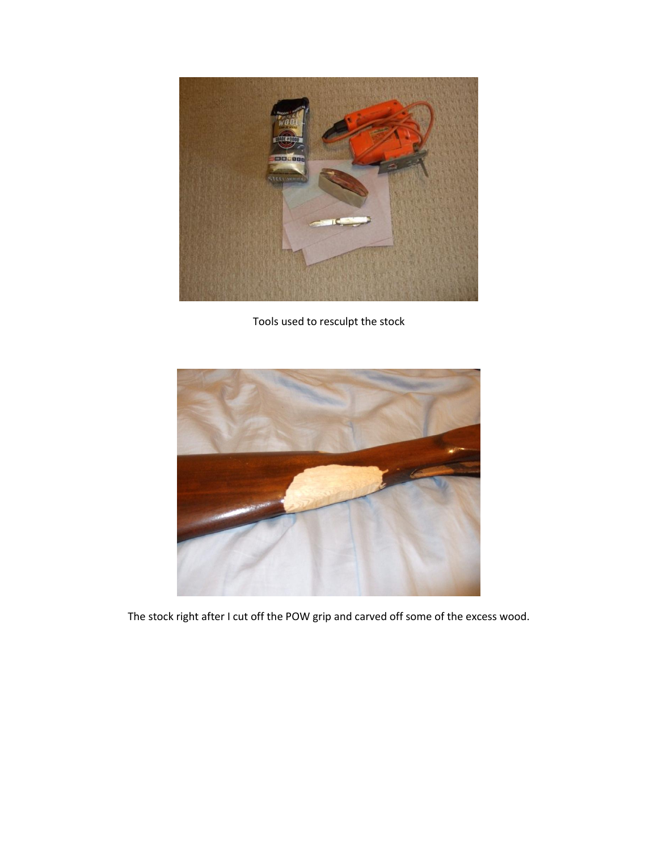

Tools used to resculpt the stock



The stock right after I cut off the POW grip and carved off some of the excess wood.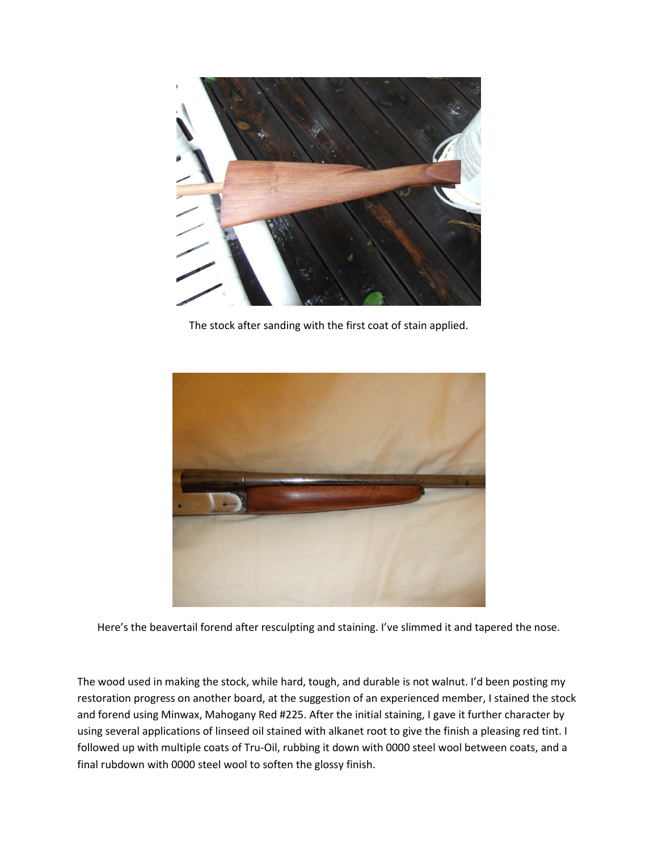

The stock after sanding with the first coat of stain applied.



Here's the beavertail forend after resculpting and staining. I've slimmed it and tapered the nose.

The wood used in making the stock, while hard, tough, and durable is not walnut. I'd been posting my restoration progress on another board, at the suggestion of an experienced member, I stained the stock and forend using Minwax, Mahogany Red #225. After the initial staining, I gave it further character by using several applications of linseed oil stained with alkanet root to give the finish a pleasing red tint. I followed up with multiple coats of Tru-Oil, rubbing it down with 0000 steel wool between coats, and a final rubdown with 0000 steel wool to soften the glossy finish.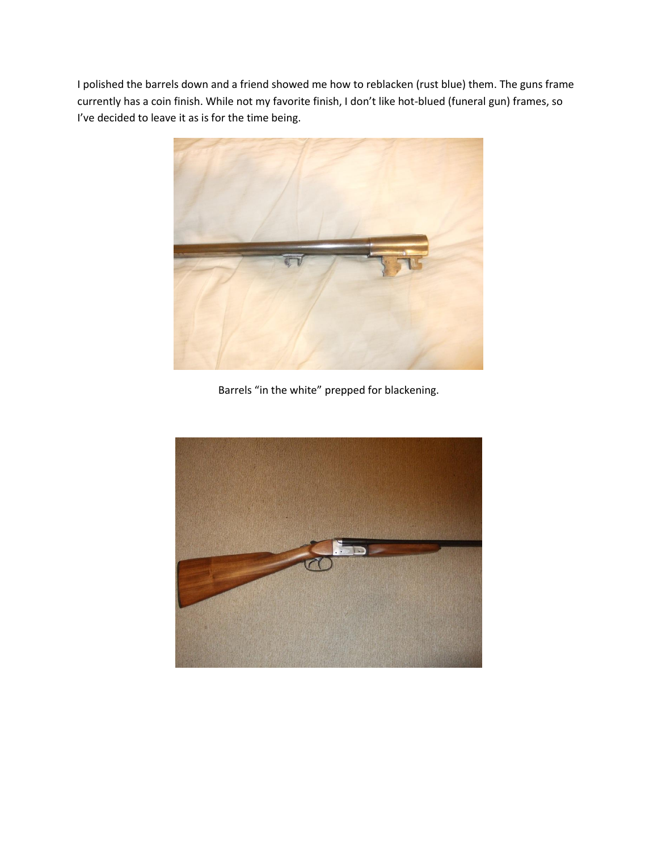I polished the barrels down and a friend showed me how to reblacken (rust blue) them. The guns frame currently has a coin finish. While not my favorite finish, I don't like hot-blued (funeral gun) frames, so I've decided to leave it as is for the time being.



Barrels "in the white" prepped for blackening.